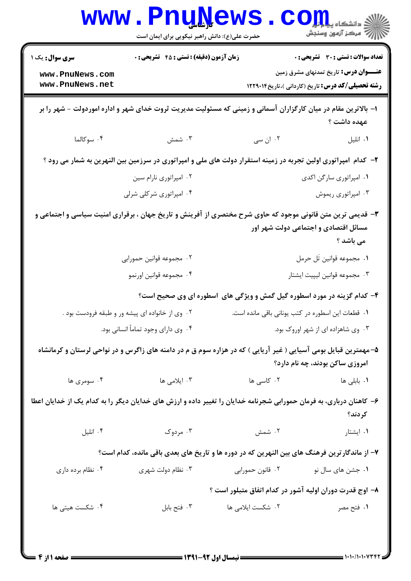|                                                                                                                               | <b>WWW.PnuWews</b><br>حضرت علی(ع): دانش راهبر نیکویی برای ایمان است                                                 |                                                   | $\mathbf{CO}_{\mathbf{H}}$ دانشکاه پی<br>رآ مرڪز آزمون وسنڊش                                       |  |  |  |
|-------------------------------------------------------------------------------------------------------------------------------|---------------------------------------------------------------------------------------------------------------------|---------------------------------------------------|----------------------------------------------------------------------------------------------------|--|--|--|
| <b>سری سوال :</b> یک ۱                                                                                                        | زمان آزمون (دقیقه) : تستی : 45 آتشریحی : 0                                                                          |                                                   | <b>تعداد سوالات : تستی : 30 ٪ تشریحی : 0</b>                                                       |  |  |  |
| www.PnuNews.com<br>www.PnuNews.net                                                                                            |                                                                                                                     |                                                   | <b>عنـــوان درس:</b> تاریخ تمدنهای مشرق زمین<br>رشته تحصیلی/کد درس: تاریخ (کاردانی )،تاریخ ۱۲۲۹۰۱۴ |  |  |  |
| ا– بالاترین مقام در میان کارگزاران آسمانی و زمینی که مسئولیت مدیریت ثروت خدای شهر و اداره اموردولت – شهر را بر<br>عهده داشت ؟ |                                                                                                                     |                                                   |                                                                                                    |  |  |  |
| ۰۴ سوکالما                                                                                                                    | ۰۳ شمش                                                                                                              | ۰۲ ان سی                                          | ٠١ انليل                                                                                           |  |  |  |
|                                                                                                                               | ۲- کدام آمپراتوری اولین تجربه در زمینه استقرار دولت های ملی و امپراتوری در سرزمین بین النهرین به شمار می رود ؟      |                                                   |                                                                                                    |  |  |  |
|                                                                                                                               | ۰۲ امپراتوری نارام سین                                                                                              |                                                   | ٠١. امپراتوري سارگن اکدي                                                                           |  |  |  |
|                                                                                                                               | ۰۴ امپراتوری شرکلی شرلی                                                                                             |                                                   | ۰۳ امپراتوری ریموش                                                                                 |  |  |  |
|                                                                                                                               | ۳- قدیمی ترین متن قانونی موجود که حاوی شرح مختصری از آفرینش و تاریخ جهان ، برقراری امنیت سیاسی و اجتماعی و          |                                                   | مسائل اقتصادی و اجتماعی دولت شهر اور<br>می باشد ؟                                                  |  |  |  |
|                                                                                                                               | ۰۲ مجموعه قوانین حمورابی                                                                                            | ٠١. مجموعه قوانين تَل حرمل                        |                                                                                                    |  |  |  |
|                                                                                                                               | ۰۴ مجموعه قوانين اورنمو                                                                                             | ۰۳ مجموعه قوانين ليپيت ايشتار                     |                                                                                                    |  |  |  |
|                                                                                                                               | ۴- کدام گزینه در مورد اسطوره گیل گمش و ویژگی های ٔاسطوره ای وی صحیح است؟                                            |                                                   |                                                                                                    |  |  |  |
|                                                                                                                               | ۰۲ وی از خانواده ای پیشه ور و طبقه فرودست بود .                                                                     | ٠١ قطعات اين اسطوره در كتب يوناني باقي مانده است. |                                                                                                    |  |  |  |
| ۰۴ وی دارای وجود تماماً انسانی بود.                                                                                           |                                                                                                                     | ۰۳ وی شاهزاده ای از شهر اوروک بود.                |                                                                                                    |  |  |  |
|                                                                                                                               | ۵– مهمترین قبایل بومی آسیایی ( غیر آریایی ) که در هزاره سوم ق م در دامنه های زاگرس و در نواحی لرستان و کرمانشاه     |                                                   | امروزی ساکن بودند، چه نام دارد؟                                                                    |  |  |  |
| ۰۴ سومری ها                                                                                                                   | ۰۳ ایلامی ها                                                                                                        | ۰۲ کاسی ها                                        | <b>۱.</b> بابل <sub>ی</sub> ها                                                                     |  |  |  |
|                                                                                                                               | ۶– کاهنان درباری، به فرمان حمورابی شجرنامه خدایان را تغییر داده و ارزش های خدایان دیگر را به کدام یک از خدایان اعطا |                                                   | كردند؟                                                                                             |  |  |  |
| ۰۴ انليل                                                                                                                      | ۰۳ مردوک                                                                                                            | ۰۲ شمش                                            | ۰۱ ایشتار                                                                                          |  |  |  |
|                                                                                                                               | ۷– از ماندگار ترین فرهنگ های بین النهرین که در دوره ها و تاریخ های بعدی باقی مانده، کدام است؟                       |                                                   |                                                                                                    |  |  |  |
| ۰۴ نظام برده داری                                                                                                             | ۰۳ نظام دولت شهری                                                                                                   | ۰۲ قانون حمورابي                                  | ۰۱ جشن های سال نو                                                                                  |  |  |  |
|                                                                                                                               |                                                                                                                     |                                                   | ۸– اوج قدرت دوران اولیه آشور در کدام اتفاق متبلور است ؟                                            |  |  |  |
| ۰۴ شکست هیتی ها                                                                                                               | ۰۳ فتح بابل                                                                                                         | ۰۲ شکست ایلامی ها                                 | ۱. فتح مصر                                                                                         |  |  |  |
|                                                                                                                               |                                                                                                                     |                                                   |                                                                                                    |  |  |  |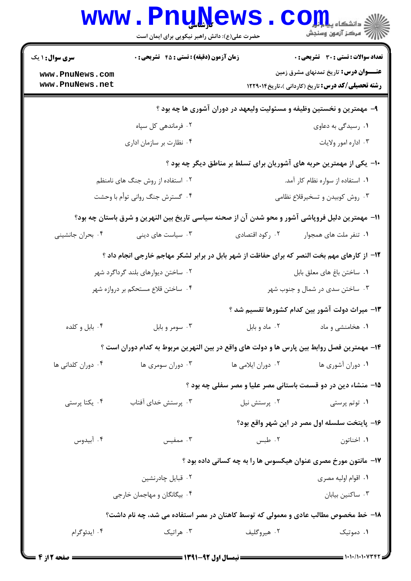| <b>سری سوال :</b> ۱ یک                                                                          | <b>زمان آزمون (دقیقه) : تستی : 45 تشریحی : 0</b>                                                |                                   | تعداد سوالات : تستى : 30 - تشريحي : 0                                                                     |  |  |
|-------------------------------------------------------------------------------------------------|-------------------------------------------------------------------------------------------------|-----------------------------------|-----------------------------------------------------------------------------------------------------------|--|--|
| www.PnuNews.com<br>www.PnuNews.net                                                              |                                                                                                 |                                   | <b>عنــــوان درس:</b> تاریخ تمدنهای مشرق زمین<br><b>رشته تحصیلی/کد درس:</b> تاریخ (کاردانی )،تاریخ1۲۲۹۰۱۴ |  |  |
|                                                                                                 |                                                                                                 |                                   |                                                                                                           |  |  |
|                                                                                                 | ۹- مهمترین و نخستین وظیفه و مسئولیت ولیعهد در دوران آشوری ها چه بود ؟                           |                                   |                                                                                                           |  |  |
|                                                                                                 | ۰۲ فرماندهی کل سپاه                                                                             |                                   | ۰۱ رسیدگی به دعاوی                                                                                        |  |  |
|                                                                                                 | ۰۴ نظارت بر سازمان اداری                                                                        |                                   | ۰۳ اداره امور ولايات                                                                                      |  |  |
| ∙۱- یکی از مهمترین حربه های آشوریان برای تسلط بر مناطق دیگر چه بود ؟                            |                                                                                                 |                                   |                                                                                                           |  |  |
| ۰۲ استفاده از روش جنگ های نامنظم                                                                |                                                                                                 | ۰۱ استفاده از سواره نظام کار آمد. |                                                                                                           |  |  |
| ۰۴ گسترش جنگ روانی توأم با وحشت                                                                 |                                                                                                 |                                   | ۰۳ روش کوبیدن و تسخیرقلاع نظامی                                                                           |  |  |
| 11– مهمترین دلیل فروپاشی آشور و محو شدن آن از صحنه سیاسی تاریخ بین النهرین و شرق باستان چه بود؟ |                                                                                                 |                                   |                                                                                                           |  |  |
| ۰۴ بحران جانشینی                                                                                | ۰۳ سیاست های دینی                                                                               | ۰۲ رکود اقتصادی                   | ۰۱ تنفر ملت های همجوار                                                                                    |  |  |
|                                                                                                 | ۱۲- از کارهای مهم بخت النصر که برای حفاظت از شهر بابل در برابر لشکر مهاجم خارجی انجام داد ؟     |                                   |                                                                                                           |  |  |
|                                                                                                 | ۰۲ ساختن دیوارهای بلند گرداگرد شهر                                                              |                                   | ٠١. ساختن باغ هاى معلق بابل                                                                               |  |  |
|                                                                                                 | ۰۴ ساختن قلاع مستحکم بر دروازه شهر                                                              | ۰۳ ساختن سدی در شمال و جنوب شهر   |                                                                                                           |  |  |
|                                                                                                 |                                                                                                 |                                   | ۱۳– میراث دولت آشور بین کدام کشورها تقسیم شد ؟                                                            |  |  |
| ۰۴ بابل و کلده                                                                                  | ۰۳ سومر و بابل                                                                                  | ۰۲ ماد و بابل                     | ۰۱ هخامنشی و ماد                                                                                          |  |  |
|                                                                                                 | ۱۴– مهمترین فصل روابط بین پارس ها و دولت های واقع در بین النهرین مربوط به کدام دوران است ؟      |                                   |                                                                                                           |  |  |
| ۰۴ دوران کلدانی ها                                                                              | ۰۳ دوران سومری ها                                                                               | ۰۲ دوران ایلامی ها                | ۰۱ دوران آشوری ها                                                                                         |  |  |
|                                                                                                 |                                                                                                 |                                   | ۱۵– منشاء دین در دو قسمت باستانی مصر علیا و مصر سفلی چه بود ؟                                             |  |  |
| ۰۴ یکتا پرستی                                                                                   | ۰۳ پرستش خدای آفتاب                                                                             | ۰۲ پرستش نیل                      | ۰۱ توتم پرستی                                                                                             |  |  |
|                                                                                                 |                                                                                                 |                                   | ۱۶– پایتخت سلسله اول مصر در این شهر واقع بود؟                                                             |  |  |
| ۰۴ آبيدوس                                                                                       | ۰۳ ممفیس                                                                                        | ۰۲ طبس                            | ۰۱ اخناتون                                                                                                |  |  |
|                                                                                                 |                                                                                                 |                                   | ۱۷– مانتون مورخ مصری عنوان هیکسوس ها را به چه کسانی داده بود ؟                                            |  |  |
|                                                                                                 | ۰۲ قبایل چادرنشین                                                                               |                                   | ۰۱ اقوام اوليه مصري                                                                                       |  |  |
|                                                                                                 | ۰۴ بیگانگان و مهاجمان خارجی                                                                     |                                   | ۰۳ ساكنين بيابان                                                                                          |  |  |
|                                                                                                 |                                                                                                 |                                   |                                                                                                           |  |  |
| ۰۴ ايدئوگرام                                                                                    | ۱۸– خط مخصوص مطالب عادی و معمولی که توسط کاهنان در مصر استفاده می شد، چه نام داشت؟<br>۰۳ هراتیک | ۰۲ هیروگلیف                       | ۰۱ دموتیک                                                                                                 |  |  |
|                                                                                                 |                                                                                                 |                                   |                                                                                                           |  |  |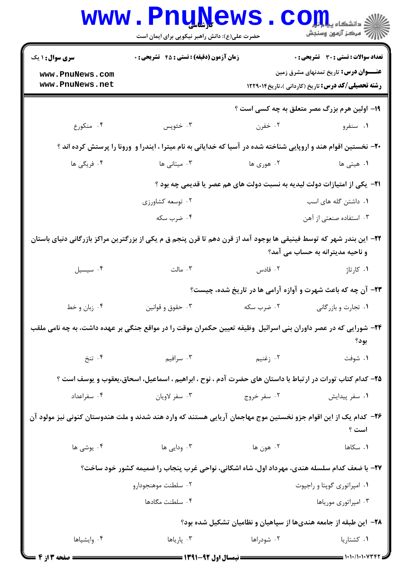|                                                                                                                                                         | <b>www.PnuNews</b><br>حضرت علی(ع): دانش راهبر نیکویی برای ایمان است                                              |             | دانشکاه پی <mark>ا با ب</mark> ر<br>أأأ " مركز آزمون وسنجش                                                |  |  |
|---------------------------------------------------------------------------------------------------------------------------------------------------------|------------------------------------------------------------------------------------------------------------------|-------------|-----------------------------------------------------------------------------------------------------------|--|--|
| <b>سری سوال : ۱ یک</b>                                                                                                                                  | <b>زمان آزمون (دقیقه) : تستی : 45 گشریحی : 0</b>                                                                 |             | <b>تعداد سوالات : تستی : 30 ٪ تشریحی : 0</b>                                                              |  |  |
| www.PnuNews.com<br>www.PnuNews.net                                                                                                                      |                                                                                                                  |             | <b>عنــــوان درس:</b> تاریخ تمدنهای مشرق زمین<br><b>رشته تحصیلی/کد درس:</b> تاریخ (کاردانی )،تاریخ1۲۲۹۰۱۴ |  |  |
|                                                                                                                                                         |                                                                                                                  |             | <b>۱۹- اولین هرم بزرگ مصر متعلق به چه کسی است</b> ؟                                                       |  |  |
| ۰۴ منکورع                                                                                                                                               | ۰۳ خئوپس                                                                                                         | ۰۲ خفرن     | ۰۱ سنفرو                                                                                                  |  |  |
| +۲- نخستین اقوام هند و اروپایی شناخته شده در آسیا که خدایانی به نام میترا ، ایندرا و ورونا را پرستش کرده اند ؟                                          |                                                                                                                  |             |                                                                                                           |  |  |
| ۰۴ فریگی ها                                                                                                                                             | ۰۳ میتانی ها                                                                                                     | ۲. هوري ها  | <b>۱.</b> هیتی ها                                                                                         |  |  |
|                                                                                                                                                         | <b>۲۱</b> - یکی از امتیازات دولت لیدیه به نسبت دولت های هم عصر یا قدیمی چه بود ؟                                 |             |                                                                                                           |  |  |
|                                                                                                                                                         | ۰۲ توسعه کشاورزی                                                                                                 |             | ۰۱ داشتن گله های اسب                                                                                      |  |  |
|                                                                                                                                                         | ۰۴ ضرب سکه                                                                                                       |             | ۰۳ استفاده صنعتی از آهن                                                                                   |  |  |
| ۲۲– این بندر شهر که توسط فینیقی ها بوجود آمد از قرن دهم تا قرن پنجم ق م یکی از بزرگترین مراکز بازرگانی دنیای باستان<br>و ناحیه مدیترانه به حساب می آمد؟ |                                                                                                                  |             |                                                                                                           |  |  |
| ۰۴ سیسیل                                                                                                                                                | $\cdot$ 7 مالت                                                                                                   | ۰۲ قادس     | ۰۱ کارتاژ                                                                                                 |  |  |
|                                                                                                                                                         |                                                                                                                  |             | ۲۳- آن چه که باعث شهرت و آوازه آرامی ها در تاریخ شده، چیست؟                                               |  |  |
| ۰۴ زبان و خط                                                                                                                                            | ۰۳ حقوق و قوانين                                                                                                 | ۰۲ ضرب سکه  | ۰۱ تجارت و بازرگانی                                                                                       |  |  |
|                                                                                                                                                         | ۲۴– شورایی که در عصر داوران بنی اسرائیل ۖ وظیفه تعیین حکمران موقت را در مواقع جنگی بر عهده داشت، به چه نامی ملقب |             | بود؟                                                                                                      |  |  |
| ۰۴ تنخ                                                                                                                                                  | ۰۳ سرافیم<br>۲. زغنیم                                                                                            |             | ۰۱ شوفت                                                                                                   |  |  |
|                                                                                                                                                         | ۲۵– کدام کتاب تورات در ارتباط با داستان های حضرت آدم ، نوح ، ابراهیم ، اسماعیل، اسحاق،یعقوب و یوسف است ؟         |             |                                                                                                           |  |  |
| ۰۴ سفراعداد                                                                                                                                             | ۰۳ سفر لاويان                                                                                                    | ۰۲ سفر خروج | ۰۱ سفر پیدایش                                                                                             |  |  |
|                                                                                                                                                         | ۲۶– کدام یک از این اقوام جزو نخستین موج مهاجمان آریایی هستند که وارد هند شدند و ملت هندوستان کنونی نیز مولود آن  |             | است ؟                                                                                                     |  |  |
| ۰۴ یوشی ها                                                                                                                                              | ۰۳ ودایی ها<br>۲. هون ها                                                                                         |             | ۰۱ سکاها                                                                                                  |  |  |
|                                                                                                                                                         | ۲۷- با ضعف کدام سلسله هندی، مهرداد اول، شاه اشکانی، نواحی غرب پنجاب را ضمیمه کشور خود ساخت؟                      |             |                                                                                                           |  |  |
|                                                                                                                                                         | ۰۲ سلطنت موهنجودارو                                                                                              |             | ٠١. امپراتوري گوپتا و راجپوت                                                                              |  |  |
|                                                                                                                                                         | ۰۴ سلطنت مگادها                                                                                                  |             | ۰۳ امپراتوری موریاها                                                                                      |  |  |
|                                                                                                                                                         | ۲۸– این طبقه از جامعه هندیها از سپاهیان و نظامیان تشکیل شده بود؟                                                 |             |                                                                                                           |  |  |
| ۰۴ وايشياها                                                                                                                                             | ۰۳ پاریاها                                                                                                       | ۰۲ شودراها  | ۰۱ کشتاریا                                                                                                |  |  |
| <b>ـــ صفحه 3 از 4</b>                                                                                                                                  |                                                                                                                  |             |                                                                                                           |  |  |